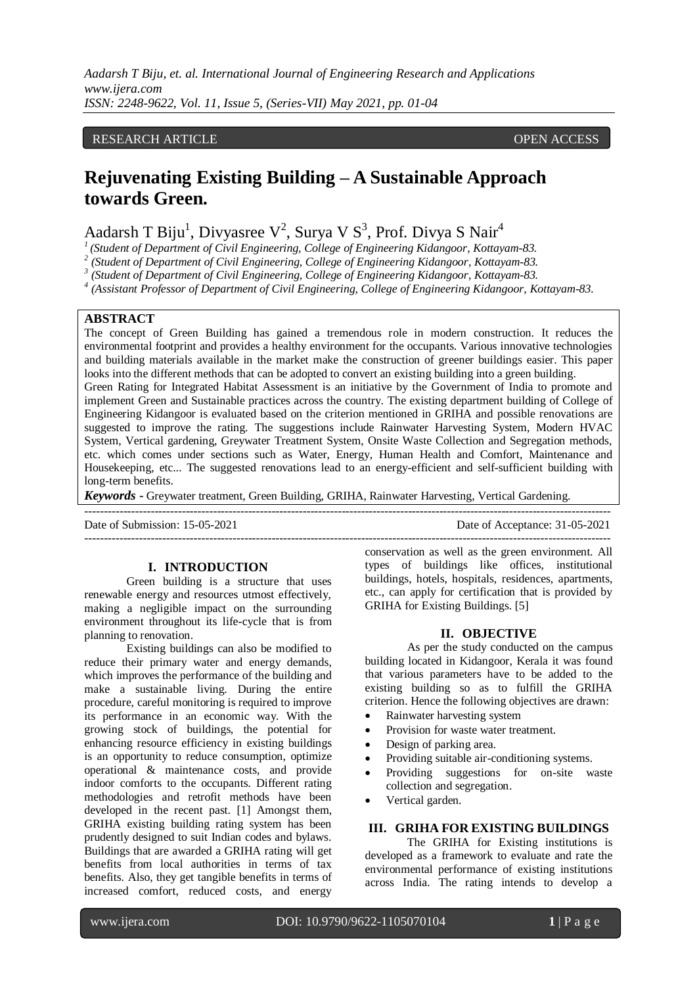*Aadarsh T Biju, et. al. International Journal of Engineering Research and Applications www.ijera.com ISSN: 2248-9622, Vol. 11, Issue 5, (Series-VII) May 2021, pp. 01-04*

#### RESEARCH ARTICLE **CONSERVERS** OPEN ACCESS

# **Rejuvenating Existing Building – A Sustainable Approach towards Green.**

# Aadarsh T Biju<sup>1</sup>, Divyasree V<sup>2</sup>, Surya V S<sup>3</sup>, Prof. Divya S Nair<sup>4</sup><br><sup>1</sup> (Student of Department of Civil Engineering College of Engineering Kidanggan, Katta

*(Student of Department of Civil Engineering, College of Engineering Kidangoor, Kottayam-83.*

*2 (Student of Department of Civil Engineering, College of Engineering Kidangoor, Kottayam-83.*

<sup>3</sup> (Student of Department of Civil Engineering, College of Engineering Kidangoor, Kottayam-83.<br><sup>4</sup> (Aggistant Professor of Department of Civil Engineering College of Engineering Kidangoor, K

*(Assistant Professor of Department of Civil Engineering, College of Engineering Kidangoor, Kottayam-83.*

# **ABSTRACT**

The concept of Green Building has gained a tremendous role in modern construction. It reduces the environmental footprint and provides a healthy environment for the occupants. Various innovative technologies and building materials available in the market make the construction of greener buildings easier. This paper looks into the different methods that can be adopted to convert an existing building into a green building.

Green Rating for Integrated Habitat Assessment is an initiative by the Government of India to promote and implement Green and Sustainable practices across the country. The existing department building of College of Engineering Kidangoor is evaluated based on the criterion mentioned in GRIHA and possible renovations are suggested to improve the rating. The suggestions include Rainwater Harvesting System, Modern HVAC System, Vertical gardening, Greywater Treatment System, Onsite Waste Collection and Segregation methods, etc. which comes under sections such as Water, Energy, Human Health and Comfort, Maintenance and Housekeeping, etc... The suggested renovations lead to an energy-efficient and self-sufficient building with long-term benefits.

---------------------------------------------------------------------------------------------------------------------------------------

*Keywords* **-** Greywater treatment, Green Building, GRIHA, Rainwater Harvesting, Vertical Gardening.

Date of Submission: 15-05-2021 Date of Acceptance: 31-05-2021

#### **I. INTRODUCTION**

Green building is a structure that uses renewable energy and resources utmost effectively, making a negligible impact on the surrounding environment throughout its life-cycle that is from planning to renovation.

Existing buildings can also be modified to reduce their primary water and energy demands, which improves the performance of the building and make a sustainable living. During the entire procedure, careful monitoring is required to improve its performance in an economic way. With the growing stock of buildings, the potential for enhancing resource efficiency in existing buildings is an opportunity to reduce consumption, optimize operational & maintenance costs, and provide indoor comforts to the occupants. Different rating methodologies and retrofit methods have been developed in the recent past. [1] Amongst them, GRIHA existing building rating system has been prudently designed to suit Indian codes and bylaws. Buildings that are awarded a GRIHA rating will get benefits from local authorities in terms of tax benefits. Also, they get tangible benefits in terms of increased comfort, reduced costs, and energy

-------------------------------------------------------------------------------------------------------------------------------------- conservation as well as the green environment. All types of buildings like offices, institutional buildings, hotels, hospitals, residences, apartments, etc., can apply for certification that is provided by GRIHA for Existing Buildings. [5]

## **II. OBJECTIVE**

As per the study conducted on the campus building located in Kidangoor, Kerala it was found that various parameters have to be added to the existing building so as to fulfill the GRIHA criterion. Hence the following objectives are drawn:

- Rainwater harvesting system
- Provision for waste water treatment.
- Design of parking area.
- Providing suitable air-conditioning systems.
- Providing suggestions for on-site waste collection and segregation.
- Vertical garden.

#### **III. GRIHA FOR EXISTING BUILDINGS**

The GRIHA for Existing institutions is developed as a framework to evaluate and rate the environmental performance of existing institutions across India. The rating intends to develop a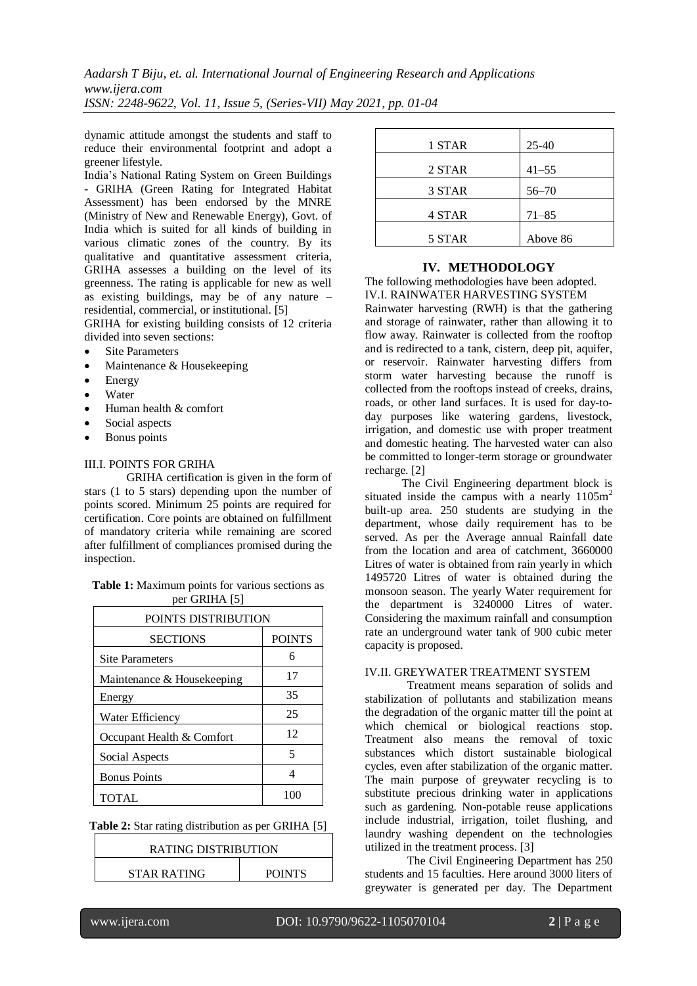dynamic attitude amongst the students and staff to reduce their environmental footprint and adopt a greener lifestyle.

India's National Rating System on Green Buildings - GRIHA (Green Rating for Integrated Habitat Assessment) has been endorsed by the MNRE (Ministry of New and Renewable Energy), Govt. of India which is suited for all kinds of building in various climatic zones of the country. By its qualitative and quantitative assessment criteria, GRIHA assesses a building on the level of its greenness. The rating is applicable for new as well as existing buildings, may be of any nature – residential, commercial, or institutional. [5]

GRIHA for existing building consists of 12 criteria divided into seven sections:

- Site Parameters
- Maintenance & Housekeeping
- Energy
- Water
- Human health & comfort
- Social aspects
- Bonus points

#### III.I. POINTS FOR GRIHA

GRIHA certification is given in the form of stars (1 to 5 stars) depending upon the number of points scored. Minimum 25 points are required for certification. Core points are obtained on fulfillment of mandatory criteria while remaining are scored after fulfillment of compliances promised during the inspection.

| Table 1: Maximum points for various sections as |  |
|-------------------------------------------------|--|
| per GRIHA [5]                                   |  |

| POINTS DISTRIBUTION        |               |  |
|----------------------------|---------------|--|
| <b>SECTIONS</b>            | <b>POINTS</b> |  |
| <b>Site Parameters</b>     | 6             |  |
| Maintenance & Housekeeping | 17            |  |
| Energy                     | 35            |  |
| Water Efficiency           | 25            |  |
| Occupant Health & Comfort  | 12            |  |
| Social Aspects             | 5             |  |
| <b>Bonus Points</b>        | Δ             |  |
| TOTAL                      | 100           |  |

| <b>Table 2:</b> Star rating distribution as per GRIHA [5] |  |  |  |  |  |
|-----------------------------------------------------------|--|--|--|--|--|
|-----------------------------------------------------------|--|--|--|--|--|

| <b>RATING DISTRIBUTION</b> |               |  |
|----------------------------|---------------|--|
| <b>STAR RATING</b>         | <b>POINTS</b> |  |

| 25-40     |
|-----------|
| $41 - 55$ |
| $56 - 70$ |
| $71 - 85$ |
| Above 86  |
|           |

#### **IV. METHODOLOGY**

The following methodologies have been adopted. IV.I. RAINWATER HARVESTING SYSTEM

Rainwater harvesting (RWH) is that the gathering and storage of rainwater, rather than allowing it to flow away. Rainwater is collected from the rooftop and is redirected to a tank, cistern, deep pit, aquifer, or reservoir. Rainwater harvesting differs from storm water harvesting because the runoff is collected from the rooftops instead of creeks, drains, roads, or other land surfaces. It is used for day-today purposes like watering gardens, livestock, irrigation, and domestic use with proper treatment and domestic heating. The harvested water can also be committed to longer-term storage or groundwater recharge. [2]

The Civil Engineering department block is situated inside the campus with a nearly  $1105m^2$ built-up area. 250 students are studying in the department, whose daily requirement has to be served. As per the Average annual Rainfall date from the location and area of catchment, 3660000 Litres of water is obtained from rain yearly in which 1495720 Litres of water is obtained during the monsoon season. The yearly Water requirement for the department is 3240000 Litres of water. Considering the maximum rainfall and consumption rate an underground water tank of 900 cubic meter capacity is proposed.

#### IV.II. GREYWATER TREATMENT SYSTEM

Treatment means separation of solids and stabilization of pollutants and stabilization means the degradation of the organic matter till the point at which chemical or biological reactions stop. Treatment also means the removal of toxic substances which distort sustainable biological cycles, even after stabilization of the organic matter. The main purpose of greywater recycling is to substitute precious drinking water in applications such as gardening. Non-potable reuse applications include industrial, irrigation, toilet flushing, and laundry washing dependent on the technologies utilized in the treatment process. [3]

The Civil Engineering Department has 250 students and 15 faculties. Here around 3000 liters of greywater is generated per day. The Department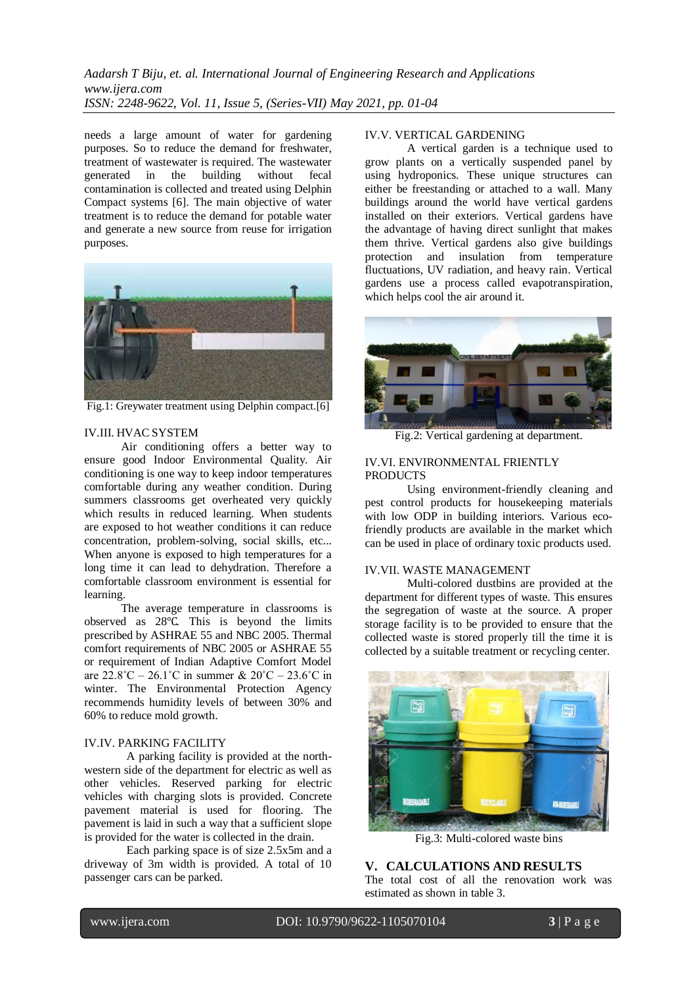# *Aadarsh T Biju, et. al. International Journal of Engineering Research and Applications www.ijera.com ISSN: 2248-9622, Vol. 11, Issue 5, (Series-VII) May 2021, pp. 01-04*

needs a large amount of water for gardening purposes. So to reduce the demand for freshwater, treatment of wastewater is required. The wastewater generated in the building without fecal contamination is collected and treated using Delphin Compact systems [6]. The main objective of water treatment is to reduce the demand for potable water and generate a new source from reuse for irrigation purposes.



Fig.1: Greywater treatment using Delphin compact.[6]

#### IV.III. HVAC SYSTEM

Air conditioning offers a better way to ensure good Indoor Environmental Quality. Air conditioning is one way to keep indoor temperatures comfortable during any weather condition. During summers classrooms get overheated very quickly which results in reduced learning. When students are exposed to hot weather conditions it can reduce concentration, problem-solving, social skills, etc... When anyone is exposed to high temperatures for a long time it can lead to dehydration. Therefore a comfortable classroom environment is essential for learning.

The average temperature in classrooms is observed as 28℃. This is beyond the limits prescribed by ASHRAE 55 and NBC 2005. Thermal comfort requirements of NBC 2005 or ASHRAE 55 or requirement of Indian Adaptive Comfort Model are  $22.8^{\circ}$ C –  $26.1^{\circ}$ C in summer &  $20^{\circ}$ C –  $23.6^{\circ}$ C in winter. The Environmental Protection Agency recommends humidity levels of between 30% and 60% to reduce mold growth.

#### IV.IV. PARKING FACILITY

A parking facility is provided at the northwestern side of the department for electric as well as other vehicles. Reserved parking for electric vehicles with charging slots is provided. Concrete pavement material is used for flooring. The pavement is laid in such a way that a sufficient slope is provided for the water is collected in the drain.

Each parking space is of size 2.5x5m and a driveway of 3m width is provided. A total of 10 passenger cars can be parked.

#### IV.V. VERTICAL GARDENING

A vertical garden is a technique used to grow plants on a vertically suspended panel by using hydroponics. These unique structures can either be freestanding or attached to a wall. Many buildings around the world have vertical gardens installed on their exteriors. Vertical gardens have the advantage of having direct sunlight that makes them thrive. Vertical gardens also give buildings protection and insulation from temperature fluctuations, UV radiation, and heavy rain. Vertical gardens use a process called evapotranspiration, which helps cool the air around it.



Fig.2: Vertical gardening at department.

#### IV.VI. ENVIRONMENTAL FRIENTLY **PRODUCTS**

Using environment-friendly cleaning and pest control products for housekeeping materials with low ODP in building interiors. Various ecofriendly products are available in the market which can be used in place of ordinary toxic products used.

#### IV.VII. WASTE MANAGEMENT

Multi-colored dustbins are provided at the department for different types of waste. This ensures the segregation of waste at the source. A proper storage facility is to be provided to ensure that the collected waste is stored properly till the time it is collected by a suitable treatment or recycling center.



Fig.3: Multi-colored waste bins

**V. CALCULATIONS AND RESULTS** The total cost of all the renovation work was estimated as shown in table 3.